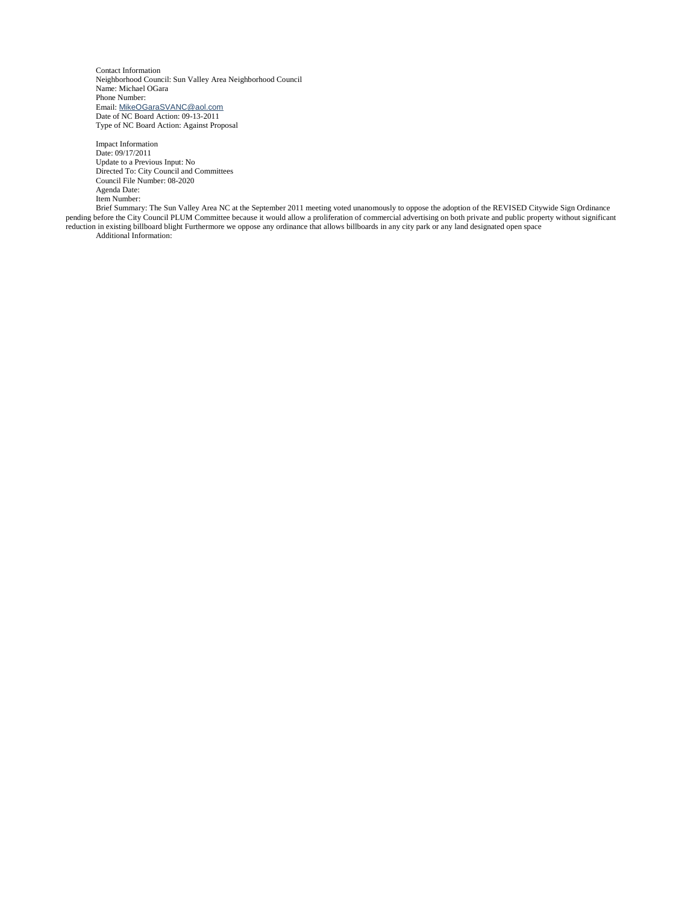Contact Information Neighborhood Council: Sun Valley Area Neighborhood Council Name: Michael OGara Phone Number: Email: [MikeOGaraSVANC@aol.com](mailto:MikeOGaraSVANC@aol.com) Date of NC Board Action: 09-13-2011 Type of NC Board Action: Against Proposal

Impact Information Date: 09/17/2011 Update to a Previous Input: No Directed To: City Council and Committees Council File Number: 08-2020 Agenda Date: Item Number:

Brief Summary: The Sun Valley Area NC at the September 2011 meeting voted unanomously to oppose the adoption of the REVISED Citywide Sign Ordinance pending before the City Council PLUM Committee because it would allow a proliferation of commercial advertising on both private and public property without significant reduction in existing billboard blight Furthermore we oppose any ordinance that allows billboards in any city park or any land designated open space Additional Information: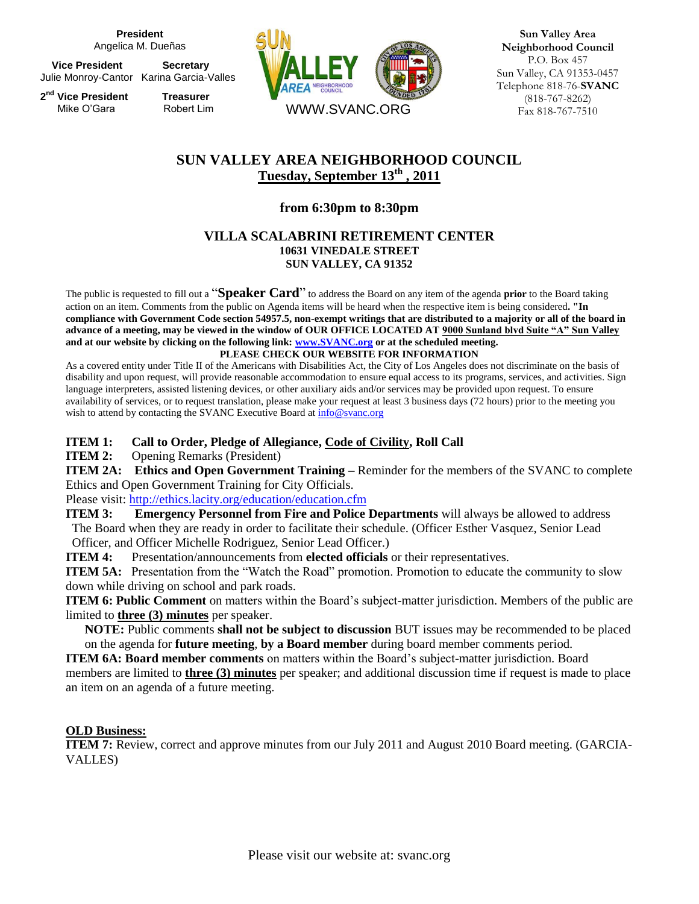**President** Angelica M. Dueñas

**Vice President Secretary** Julie Monroy-Cantor Karina Garcia-Valles

**2 nd Vice President Treasurer** Mike O'Gara Robert Lim



**Sun Valley Area Neighborhood Council** P.O. Box 457 Sun Valley, CA 91353-0457 Telephone 818-76-**SVANC**  (818-767-8262) Fax 818-767-7510

# **SUN VALLEY AREA NEIGHBORHOOD COUNCIL Tuesday, September 13th , 2011**

## **from 6:30pm to 8:30pm**

## **VILLA SCALABRINI RETIREMENT CENTER 10631 VINEDALE STREET SUN VALLEY, CA 91352**

The public is requested to fill out a "**Speaker Card**" to address the Board on any item of the agenda **prior** to the Board taking action on an item. Comments from the public on Agenda items will be heard when the respective item is being considered**. "In compliance with Government Code section 54957.5, non-exempt writings that are distributed to a majority or all of the board in advance of a meeting, may be viewed in the window of OUR OFFICE LOCATED AT 9000 Sunland blvd Suite "A" Sun Valley and at our website by clicking on the following link[: www.SVANC.org](http://www.svanc.org/) or at the scheduled meeting. PLEASE CHECK OUR WEBSITE FOR INFORMATION**

As a covered entity under Title II of the Americans with Disabilities Act, the City of Los Angeles does not discriminate on the basis of disability and upon request, will provide reasonable accommodation to ensure equal access to its programs, services, and activities. Sign language interpreters, assisted listening devices, or other auxiliary aids and/or services may be provided upon request. To ensure availability of services, or to request translation, please make your request at least 3 business days (72 hours) prior to the meeting you wish to attend by contacting the SVANC Executive Board at  $info@svanc.org$ 

## **ITEM 1: Call to Order, Pledge of Allegiance, Code of Civility, Roll Call**

**ITEM 2:** Opening Remarks (President)

**ITEM 2A:** Ethics and Open Government Training – Reminder for the members of the SVANC to complete Ethics and Open Government Training for City Officials.

Please visit:<http://ethics.lacity.org/education/education.cfm>

**ITEM 3: Emergency Personnel from Fire and Police Departments** will always be allowed to address The Board when they are ready in order to facilitate their schedule. (Officer Esther Vasquez, Senior Lead Officer, and Officer Michelle Rodriguez, Senior Lead Officer.)

**ITEM 4:** Presentation/announcements from **elected officials** or their representatives.

**ITEM 5A:** Presentation from the "Watch the Road" promotion. Promotion to educate the community to slow down while driving on school and park roads.

**ITEM 6: Public Comment** on matters within the Board's subject-matter jurisdiction. Members of the public are limited to **three (3) minutes** per speaker.

 **NOTE:** Public comments **shall not be subject to discussion** BUT issues may be recommended to be placed on the agenda for **future meeting**, **by a Board member** during board member comments period.

**ITEM 6A: Board member comments** on matters within the Board's subject-matter jurisdiction. Board members are limited to **three (3) minutes** per speaker; and additional discussion time if request is made to place an item on an agenda of a future meeting.

### **OLD Business:**

**ITEM 7:** Review, correct and approve minutes from our July 2011 and August 2010 Board meeting. (GARCIA-VALLES)